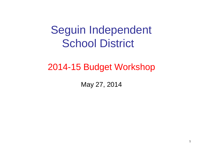# Seguin Independent School District

### 2014-15 Budget Workshop

May 27, 2014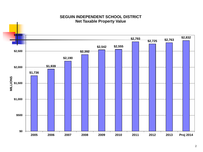

#### **SEGUIN INDEPENDENT SCHOOL DISTRICT Net Taxable Property Value**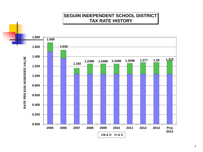#### **SEGUIN INDEPENDENT SCHOOL DISTRICT TAX RATE HISTORY**

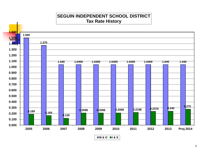#### **SEGUIN INDEPENDENT SCHOOL DISTRICT Tax Rate History**

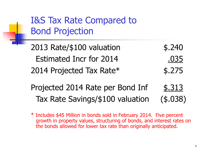I&S Tax Rate Compared to Bond Projection

- 2013 Rate/\$100 valuation \$.240 Estimated Incr for 2014 .035 2014 Projected Tax Rate\* \$.275
- Projected 2014 Rate per Bond Inf \$.313 Tax Rate Savings/\$100 valuation (\$.038)
- \* Includes \$45 Million in bonds sold in February 2014. Five percent growth in property values, structuring of bonds, and interest rates on the bonds allowed for lower tax rate than originally anticipated.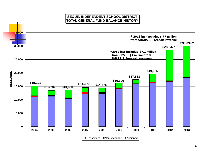#### **SEGUIN INDEPENDENT SCHOOL DISTRICT TOTAL GENERAL FUND BALANCE HISTORY**

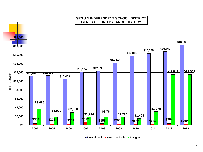#### **SEGUIN INDEPENDENT SCHOOL DISTRICT GENERAL FUND BALANCE HISTORY**

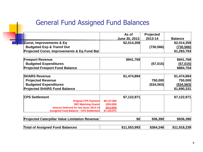#### General Fund Assigned Fund Balances

|                                                        | As of         | Projected  |                |
|--------------------------------------------------------|---------------|------------|----------------|
|                                                        | June 30, 2013 | 2013-14    | <b>Balance</b> |
| Const, Improvements & Eq                               | \$2,014,359   |            | \$2,014,359    |
| <b>Budgeted Exp &amp; Transf Out</b>                   |               | (730, 566) | (730, 566)     |
| <b>Projected Const, Improvements &amp; Eq Fund Bal</b> |               |            | \$1,283,793    |
| <b>Freeport Revenue</b>                                | \$941,769     |            | \$941,769      |
| <b>Budgeted Expenditures</b>                           |               | (57, 015)  | (57, 015)      |
| <b>Projected Freeport Fund Balance</b>                 |               |            | \$884,754      |
|                                                        |               |            |                |
| <b>SHARS Revenue</b>                                   | \$1,474,894   |            | \$1,474,894    |
| <b>Projected Revenue</b>                               |               | 750,000    | 750,000        |
| <b>Budgeted Expenditures</b>                           |               | (534, 563) | (534, 563)     |
| <b>Projected SHARS Fund Balance</b>                    |               |            | \$1,690,331    |
| <b>CPS Settlement</b>                                  | \$7,122,971   |            | \$7,122,971    |
| <b>Original CPS Payment</b>                            | \$8,137,900   |            |                |
| <b>SEF Matching Grants</b>                             | (200,000)     |            |                |
| Amount Deferred for lost taxes 2013-14                 | (814, 929)    |            |                |
| Assigned Fund Balance - CPS Settlement                 | \$7,122,971   |            |                |
| <b>Projected Caterpillar Value Limitation Revenue</b>  | \$0           | 936,390    | \$936,390      |
| <b>Total of Assigned Fund Balances</b>                 | \$11,553,993  | \$364,246  | \$11,918,239   |
|                                                        |               |            |                |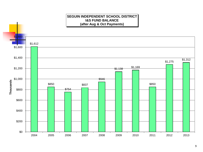

#### 9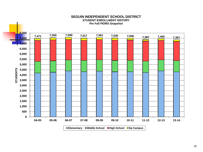

#### **SEGUIN INDEPENDENT SCHOOL DISTRICT STUDENT ENROLLMENT HISTORY Per Fall PEIMS Snapshot**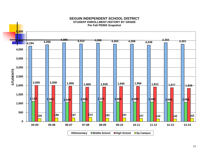

#### **SEGUIN INDEPENDENT SCHOOL DISTRICT STUDENT ENROLLMENT HISTORY BY GRADE Per Fall PEIMS Snapshot**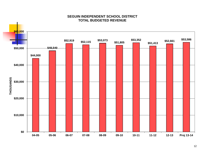

#### **SEGUIN INDEPENDENT SCHOOL DISTRICT TOTAL BUDGETED REVENUE**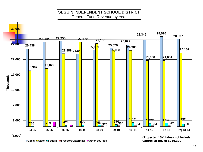#### **SEGUIN INDEPENDENT SCHOOL DISTRICT** General Fund Revenue by Year



13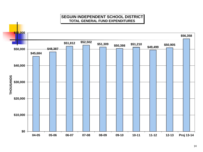#### **SEGUIN INDEPENDENT SCHOOL DISTRICT TOTAL GENERAL FUND EXPENDITURES**

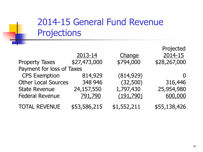# 2014-15 General Fund Revenue Projections

|                            |              |             | Projected    |
|----------------------------|--------------|-------------|--------------|
|                            | 2013-14      | Change      | 2014-15      |
| <b>Property Taxes</b>      | \$27,473,000 | \$794,000   | \$28,267,000 |
| Payment for loss of Taxes  |              |             |              |
| <b>CPS Exemption</b>       | 814,929      | (814, 929)  |              |
| <b>Other Local Sources</b> | 348 946      | (32,500)    | 316,446      |
| <b>State Revenue</b>       | 24,157,550   | 1,797,430   | 25,954,980   |
| <b>Federal Revenue</b>     | 791,790      | (191,790)   | 600,000      |
| <b>TOTAL REVENUE</b>       | \$53,586,215 | \$1,552,211 | \$55,138,426 |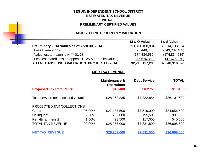#### **SEGUIN INDEPENDENT SCHOOL DISTRICT ESTIMATED TAX REVENUE 2014-15 PRELIMINARY CERTIFIED VALUES**

#### **ADJUSTED NET PROPERTY VALUATION**

| M & O Value     | I & S Value     |
|-----------------|-----------------|
| \$3,814,108,834 | \$3,814,108,834 |
| (873, 440, 735) | (743, 287, 409) |
| (174, 834, 539) | (174, 834, 539) |
| (47, 676, 360)  | (47,676,360)    |
| \$2,718,157,200 | \$2,848,310,526 |
|                 |                 |

#### **SISD TAX REVENUE**

|                                      |         | Maintenance &<br><b>Operations</b> | <b>Debt Service</b> | <b>TOTAL</b> |
|--------------------------------------|---------|------------------------------------|---------------------|--------------|
| <b>Proposed Tax Rate Per \$100</b>   |         | \$1.0400                           | \$0.2750            | \$1.3150     |
| Total Levy on net assessed valuation |         | \$28,268,835                       | \$7,832,854         | \$36,101,689 |
| PROJECTED TAX COLLECTIONS            |         |                                    |                     |              |
| Current                              | 96.00%  | \$27,137,500                       | \$7,519,000         | \$34,656,500 |
| Delinquent                           | 2.50%   | 706,000                            | 195,500             | 901,500      |
| Penalty & Interest                   | 1.50%   | 423,500                            | 117,000             | 540,500      |
| <b>TOTAL TAX REVENUE</b>             | 100.00% | \$28,267,000                       | \$7,831,500         | \$36,098,500 |
| <b>NET TAX REVENUE</b>               |         | \$28,267,000                       | \$7.831.500         | \$36,098,500 |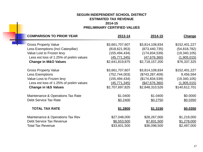#### **SEGUIN INDEPENDENT SCHOOL DISTRICT ESTIMATED TAX REVENUE 2014-15 PRELIMINARY CERTIFIED VALUES**

| <b>PRELIMINARY CERTIFIED VALUES</b>     |                 |                 |                |  |  |
|-----------------------------------------|-----------------|-----------------|----------------|--|--|
| <b>COMPARISON TO PRIOR YEAR</b>         | 2013-14         | 2014-15         | <b>Change</b>  |  |  |
| <b>Gross Property Value</b>             | \$3,661,707,607 | \$3,814,108,834 | \$152,401,227  |  |  |
| Less Exemptions (Incl Caterpillar)      | (818, 621, 953) | (873, 440, 735) | (54, 818, 782) |  |  |
| Value Lost to Frozen levy               | (155, 494, 434) | (174, 834, 539) | (19, 340, 105) |  |  |
| Less est loss of 1.25% of prelim values | (45, 771, 345)  | (47, 676, 360)  | (1,905,015)    |  |  |
| <b>Change in M&amp;O Values</b>         | \$2,641,819,875 | \$2,718,157,200 | \$76,337,325   |  |  |
| <b>Gross Property Value</b>             | \$3,661,707,607 | \$3,814,108,834 | \$152,401,227  |  |  |
| Less Exemptions                         | (752, 744, 003) | (\$743,287,409) | 9,456,594      |  |  |
| Value Loss to Frozen levy               | (155, 494, 434) | (\$174,834,539) | (19,340,105)   |  |  |
| Less est loss of 1.25% of prelim values | (45, 771, 345)  | ( \$47,676,360) | (1,905,015)    |  |  |
| <b>Change in I&amp;S Values</b>         | \$2,707,697,825 | \$2,848,310,526 | \$140,612,701  |  |  |
| Maintenance & Operations Tax Rate       | \$1.0400        | \$1.0400        | \$0.0000       |  |  |
| <b>Debt Service Tax Rate</b>            | \$0.2400        | \$0.2750        | \$0.0350       |  |  |
| <b>TOTAL TAX RATE</b>                   | \$1.2800        | \$1.3150        | \$0.0350       |  |  |
| Maintenance & Operations Tax Rev        | \$27,048,000    | \$28,267,000    | \$1,219,000    |  |  |
| <b>Debt Service Tax Revenue</b>         | \$6,553,500     | \$7,831,500     | \$1,278,000    |  |  |
| <b>Total Tax Revenue</b>                | \$33,601,500    | \$36,098,500    | \$2,497,000    |  |  |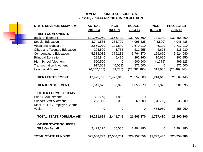#### **REVENUE FROM STATE SOURCES 2012-13, 2013-14 and 2014-15 PROJECTION**

| <b>STATE REVENUE SUMMARY</b>                       | <b>ACTUAL</b><br>2012-13 | <b>INCR</b><br>(DECR) | <b>BUDGET</b><br>2013-14 | <b>INCR</b><br>(DECR) | <b>PROJECTED</b><br>2014-15 |
|----------------------------------------------------|--------------------------|-----------------------|--------------------------|-----------------------|-----------------------------|
| <b>TIER I COMPONENTS</b>                           |                          |                       |                          |                       |                             |
| <b>Basic Entitlement</b>                           | \$31,060,960             | 1,666,700             | \$32,727,660             | 731,140               | \$33,458,800                |
| <b>Special Education</b>                           | 3,741,535                | 353,790               | 4,095,325                | (48, 890)             | 4,046,435                   |
| <b>Vocational Education</b>                        | 2,569,070                | 101,840               | 2,670,910                | 46,100                | 2,717,010                   |
| <b>Gifted and Talented Education</b>               | 205,500                  | 5,755                 | 211,255                  | 4,675                 | 215,930                     |
| <b>Compensatory Education</b>                      | 5,385,085                | 379,285               | 5,764,370                | 159,670               | 5,924,040                   |
| <b>Bilingual Education</b>                         | 285,845                  | 6,415                 | 292,260                  | 10,690                | 302,950                     |
| <b>High School Allotment</b>                       | 500,500                  | $\mathbf 0$           | 500,500                  | (1, 375)              | 499,125                     |
| <b>Transportation Allotment</b>                    | 917,508                  | (45,008)              | 872,500                  | $\Omega$              | 872,500                     |
| Less Local Share                                   | (26, 742, 245)           | (39, 735)             | (26, 781, 980)           | 312,635               | (26, 469, 345)              |
| <b>TIER I ENTITLEMENT</b>                          | 17,923,758               | 2,429,042             | 20,352,800               | 1,214,645             | 21,567,445                  |
| <b>TIER II ENTITLEMENT</b>                         | 1,041,675                | 8,895                 | 1,050,570                | 151,325               | 1,201,895                   |
| <b>OTHER FORMULA ITEMS</b>                         |                          |                       |                          |                       |                             |
| Prior Yr Adjustments                               | (1,809)                  | 1,809                 | $\Omega$                 |                       |                             |
| <b>Support Staff Allotment</b>                     | 258,000                  | 2,000                 | 260,000                  | (24, 500)             | 235,500                     |
| Rider 71 TRS Employer Contrib                      |                          |                       |                          |                       |                             |
| Assist                                             | $\overline{0}$           | $\underline{0}$       | $\overline{0}$           | 455,960               | 455,960                     |
| <b>TOTAL STATE FORMULA AID</b>                     | 19,221,624               | 2,441,746             | 21,663,370               | 1,797,430             | 23,460,800                  |
| <b>OTHER STATE SOURCES</b><br><b>TRS On Behalf</b> | 2,429,175                | 65,005                | 2,494,180                | $\overline{0}$        | 2,494,180                   |
| <b>TOTAL STATE FUNDING</b>                         | <u>\$21,650,799</u>      | \$2,506,751           | \$24,157,550             | \$1,797,430           | \$25,954,980                |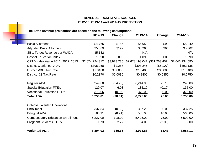#### **REVENUE FROM STATE SOURCES 2012-13, 2013-14 and 2014-15 PROJECTION**

#### **The State revenue projections are based on the following assumptions:**

۰

|                                          | 2012-13         | Change      | 2013-14                        | Change    | 2014-15         |
|------------------------------------------|-----------------|-------------|--------------------------------|-----------|-----------------|
| <b>Basic Allotment</b>                   | \$4,765         | \$185       | \$4,950                        | \$90      | \$5,040         |
| <b>Adjusted Basic Allotment</b>          | \$5,069         | \$197       | \$5,266                        | \$96      | \$5,362         |
| SB 1 Target Revenue per WADA             | \$5,182         |             | N/A                            |           | N/A             |
| <b>Cost of Education Index</b>           | 1.090           | 0.000       | 1.090                          | 0.000     | 1.090           |
| CPTD Index Value 2011, 2012, 2013        | \$2,674,224,312 | \$3,973,735 | \$2,678,198,047 (\$31,263,457) |           | \$2,646,934,590 |
| District Wealth per ADA                  | \$395,958       | \$2,287     | \$398,245                      | (\$6,107) | \$392,138       |
| District M&O Tax Rate                    | \$1.0400        | \$0.0000    | \$1.0400                       | \$0.0000  | \$1.0400        |
| District I&S Tax Rate                    | \$0.2370        | \$0.0030    | \$0.2400                       | \$0.0350  | \$0.2750        |
| Regular ADA                              | 6,249.68        | (34.78)     | 6,214.90                       | 25.10     | 6,240.00        |
| <b>Special Education FTE's</b>           | 129.07          | 6.03        | 135.10                         | (0.10)    | 135.00          |
| <b>Vocational Education FTE's</b>        | 375.06          | (0.06)      | 375.00                         | 0.00      | 375.00          |
| <b>Total ADA</b>                         | 6,753.81        | (28.81)     | 6,725.00                       | 25.00     | 6,750.00        |
| <b>Gifted &amp; Talented Operational</b> |                 |             |                                |           |                 |
| Enrollment                               | 337.84          | (0.59)      | 337.25                         | 0.00      | 337.25          |
| <b>Bilingual ADA</b>                     | 563.91          | (8.91)      | 555.00                         | 10.00     | 565.00          |
| <b>Compensatory Education Enrollment</b> | 5,227.00        | 198.00      | 5,425.00                       | 75.00     | 5,500.00        |
| <b>Pregnant Students FTE's</b>           | 1.73            | 2.27        | 4.00                           | (2.00)    | 2.00            |
| <b>Weighted ADA</b>                      | 8,804.02        | 169.66      | 8,973.68                       | 13.43     | 8,987.11        |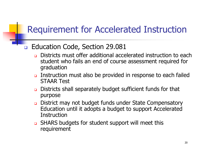# Requirement for Accelerated Instruction

#### B Education Code, Section 29.081

- Districts must offer additional accelerated instruction to each student who fails an end of course assessment required for graduation
- **u.** Instruction must also be provided in response to each failed STAAR Test
- Districts shall separately budget sufficient funds for that purpose
- District may not budget funds under State Compensatory Education until it adopts a budget to support Accelerated **Instruction**
- **Q** SHARS budgets for student support will meet this requirement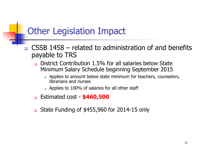# Other Legislation Impact

- CSSB 1458 related to administration of and benefits payable to TRS
	- District Contribution 1.5% for all salaries below State Minimum Salary Schedule beginning September 2015
		- **Q** Applies to amount below state minimum for teachers, counselors, librarians and nurses
		- **□** Applies to 100% of salaries for all other staff
	- Estimated cost **\$460,500**
	- State Funding of \$455,960 for 2014-15 only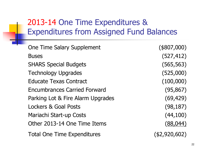## 2013-14 One Time Expenditures & Expenditures from Assigned Fund Balances

| <b>One Time Salary Supplement</b>   | (\$807,000)   |
|-------------------------------------|---------------|
| <b>Buses</b>                        | (527, 412)    |
| <b>SHARS Special Budgets</b>        | (565, 563)    |
| <b>Technology Upgrades</b>          | (525,000)     |
| <b>Educate Texas Contract</b>       | (100,000)     |
| <b>Encumbrances Carried Forward</b> | (95, 867)     |
| Parking Lot & Fire Alarm Upgrades   | (69, 429)     |
| <b>Lockers &amp; Goal Posts</b>     | (98, 187)     |
| Mariachi Start-up Costs             | (44, 100)     |
| Other 2013-14 One Time Items        | (88, 044)     |
| <b>Total One Time Expenditures</b>  | (\$2,920,602) |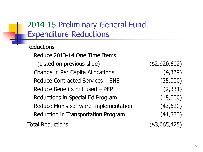### 2014-15 Preliminary General Fund Expenditure Reductions

**Reductions** 

Reduce 2013-14 One Time Items (Listed on previous slide) (\$2,920,602) Change in Per Capita Allocations (4,339) Reduce Contracted Services – SHS (35,000) Reduce Benefits not used – PEP (2,331) Reductions in Special Ed Program (18,000) Reduce Munis software Implementation (43,620) Reduction in Transportation Program (41,533)

Total Reductions (\$3,065,425)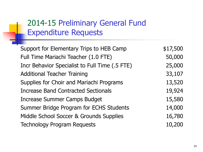### 2014-15 Preliminary General Fund Expenditure Requests

| Support for Elementary Trips to HEB Camp       | \$17,500 |
|------------------------------------------------|----------|
| Full Time Mariachi Teacher (1.0 FTE)           | 50,000   |
| Incr Behavior Specialist to Full Time (.5 FTE) | 25,000   |
| <b>Additional Teacher Training</b>             | 33,107   |
| Supplies for Choir and Mariachi Programs       | 13,520   |
| <b>Increase Band Contracted Sectionals</b>     | 19,924   |
| Increase Summer Camps Budget                   | 15,580   |
| Summer Bridge Program for ECHS Students        | 14,000   |
| Middle School Soccer & Grounds Supplies        | 16,780   |
| <b>Technology Program Requests</b>             | 10,200   |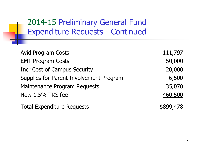2014-15 Preliminary General Fund Expenditure Requests - Continued

| <b>Avid Program Costs</b>               | 111,797   |
|-----------------------------------------|-----------|
| <b>EMT Program Costs</b>                | 50,000    |
| <b>Incr Cost of Campus Security</b>     | 20,000    |
| Supplies for Parent Involvement Program | 6,500     |
| <b>Maintenance Program Requests</b>     | 35,070    |
| New 1.5% TRS fee                        | 460,500   |
| <b>Total Expenditure Requests</b>       | \$899,478 |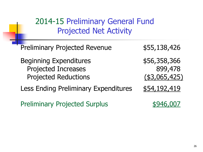2014-15 Preliminary General Fund Projected Net Activity

Preliminary Projected Revenue \$55,138,426

Beginning Expenditures  $$56,358,366$ Projected Increases 899,478 Projected Reductions (\$3,065,425)

Less Ending Preliminary Expenditures \$54,192,419

Preliminary Projected Surplus \$946,007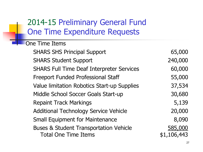## 2014-15 Preliminary General Fund One Time Expenditure Requests

One Time Items SHARS SHS Principal Support 65,000 SHARS Student Support 240,000 SHARS Full Time Deaf Interpreter Services 60,000 Freeport Funded Professional Staff 55,000 Value limitation Robotics Start-up Supplies 37,534 Middle School Soccer Goals Start-up 30,680 Repaint Track Markings **5,139** Additional Technology Service Vehicle 20,000 Small Equipment for Maintenance 8,090 Buses & Student Transportation Vehicle 585,000 Total One Time Items  $$1,106,443$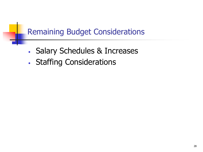### Remaining Budget Considerations

- Salary Schedules & Increases
- Staffing Considerations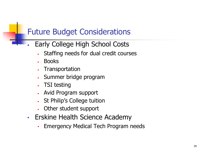### Future Budget Considerations

- Early College High School Costs
	- Staffing needs for dual credit courses
	- Books
	- **Transportation**
	- Summer bridge program
	- TSI testing
	- Avid Program support
	- St Philip's College tuition
	- Other student support
- Erskine Health Science Academy
	- Emergency Medical Tech Program needs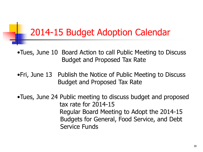# 2014-15 Budget Adoption Calendar

- •Tues, June 10 Board Action to call Public Meeting to Discuss Budget and Proposed Tax Rate
- •Fri, June 13 Publish the Notice of Public Meeting to Discuss Budget and Proposed Tax Rate
- •Tues, June 24 Public meeting to discuss budget and proposed tax rate for 2014-15 Regular Board Meeting to Adopt the 2014-15 Budgets for General, Food Service, and Debt Service Funds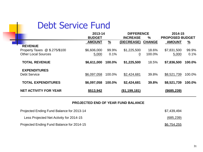### Debt Service Fund

n.

|                               | 2013-14       |               | <b>DIFFERENCE</b> |               | 2014-15<br><b>PROPOSED BUDGET</b> |               |
|-------------------------------|---------------|---------------|-------------------|---------------|-----------------------------------|---------------|
|                               | <b>BUDGET</b> |               | <b>INCREASE</b>   | $\%$          |                                   |               |
|                               | <b>AMOUNT</b> | $\frac{9}{6}$ | (DECREASE)        | <b>CHANGE</b> | <b>AMOUNT</b>                     | $\frac{9}{2}$ |
| <b>REVENUE</b>                |               |               |                   |               |                                   |               |
| Property Taxes @ \$.275/\$100 | \$6,606,000   | 99.9%         | \$1,225,500       | 18.6%         | \$7,831,500                       | 99.9%         |
| <b>Other Local Sources</b>    | 5,000         | 0.1%          | 0                 | 100.0%        | 5,000                             | 0.1%          |
| <b>TOTAL REVENUE</b>          | \$6,611,000   | 100.0%        | \$1,225,500       | 18.5%         | \$7,836,500                       | 100.0%        |
| <b>EXPENDITURES</b>           |               |               |                   |               |                                   |               |
| <b>Debt Service</b>           | \$6,097,058   | 100.0%        | \$2,424,681       | 39.8%         | \$8,521,739                       | 100.0%        |
| <b>TOTAL EXPENDITURES</b>     | \$6,097,058   | 100.0%        | \$2,424,681       | 39.8%         | \$8,521,739                       | 100.0%        |
| <b>NET ACTIVITY FOR YEAR</b>  | \$513,942     |               | (\$1,199,181)     |               | $($ \$685,239)                    |               |

#### **PROJECTED END OF YEAR FUND BALANCE**

| Projected Ending Fund Balance for 2013-14 | \$7,439,494 |
|-------------------------------------------|-------------|
| Less Projected Net Activity for 2014-15   | (685, 239)  |
| Projected Ending Fund Balance for 2014-15 | \$6,754,255 |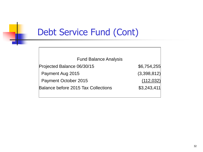# Debt Service Fund (Cont)

Fund Balance Analysis Projected Balance 06/30/15 \$6,754,255 Payment Aug 2015 (3,398,812) Payment October 2015 (112,032) Balance before 2015 Tax Collections \$3,243,411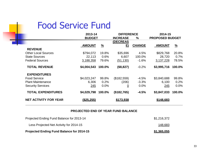### Food Service Fund

n

|                              | 2013-14       |               | <b>DIFFERENCE</b> |               | 2014-15                |               |
|------------------------------|---------------|---------------|-------------------|---------------|------------------------|---------------|
|                              | <b>BUDGET</b> |               | <b>INCREASE</b>   | $\%$          | <b>PROPOSED BUDGET</b> |               |
|                              |               |               | (DECREAS          |               |                        |               |
|                              | <b>AMOUNT</b> | $\frac{9}{6}$ | E)                | <b>CHANGE</b> | <b>AMOUNT</b>          | $\frac{9}{6}$ |
| <b>REVENUE</b>               |               |               |                   |               |                        |               |
| <b>Other Local Sources</b>   | \$794,072     | 19.8%         | \$35,696          | 4.5%          | \$829,768              | 20.8%         |
| <b>State Sources</b>         | 22,113        | 0.6%          | 6,607             | 100.0%        | 28,720                 | 0.7%          |
| <b>Federal Sources</b>       | 3,188,358     | 79.6%         | (51, 130)         | $-1.6%$       | 3,137,228              | 78.5%         |
| <b>TOTAL REVENUE</b>         | \$4,004,543   | 100.0%        | (\$8,827)         | $-0.2%$       | \$3,995,716            | 100.0%        |
| <b>EXPENDITURES</b>          |               |               |                   |               |                        |               |
| <b>Food Service</b>          | \$4,023,247   | 99.8%         | (\$182,559)       | -4.5%         | \$3,840,688            | 99.8%         |
| <b>Plant Maintenance</b>     | 6,306         | 0.2%          | (206)             | $-3.3%$       | 6,100                  | 0.2%          |
| <b>Security Services</b>     | 245           | 0.0%          | <u>0</u>          | 0.0%          | 245                    | 0.0%          |
| <b>TOTAL EXPENDITURES</b>    | \$4,029,798   | 100.0%        | (\$182,765)       | $-4.5%$       | \$3,847,033            | 100.0%        |
| <b>NET ACTIVITY FOR YEAR</b> | (\$25,255)    |               | \$173,938         |               | \$148,683              |               |

#### **PROJECTED END OF YEAR FUND BALANCE**

| <b>Projected Ending Fund Balance for 2014-15</b> | \$1,365,055 |
|--------------------------------------------------|-------------|
| Less Projected Net Activity for 2014-15          | 148,683     |
| Projected Ending Fund Balance for 2013-14        | \$1,216,372 |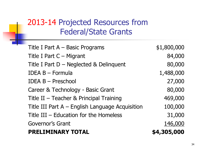### 2013-14 Projected Resources from Federal/State Grants

| Title I Part $A -$ Basic Programs               | \$1,800,000 |
|-------------------------------------------------|-------------|
| Title I Part C - Migrant                        | 84,000      |
| Title I Part $D$ – Neglected & Delinquent       | 80,000      |
| <b>IDEA B - Formula</b>                         | 1,488,000   |
| <b>IDEA B - Preschool</b>                       | 27,000      |
| Career & Technology - Basic Grant               | 80,000      |
| Title II - Teacher & Principal Training         | 469,000     |
| Title III Part A - English Language Acquisition | 100,000     |
| Title $III$ – Education for the Homeless        | 31,000      |
| Governor's Grant                                | 146,000     |
| <b>PRELIMINARY TOTAL</b>                        | \$4,305,000 |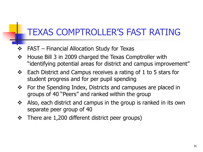# TEXAS COMPTROLLER'S FAST RATING

- FAST Financial Allocation Study for Texas
- ❖ House Bill 3 in 2009 charged the Texas Comptroller with "identifying potential areas for district and campus improvement"
- $\div$  Each District and Campus receives a rating of 1 to 5 stars for student progress and for per pupil spending
- ❖ For the Spending Index, Districts and campuses are placed in groups of 40 "Peers" and ranked within the group
- Also, each district and campus in the group is ranked in its own separate peer group of 40
- $\div$  There are 1,200 different district peer groups)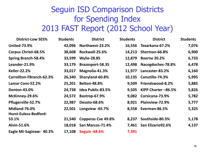### Seguin ISD Comparison Districts for Spending Index 2013 FAST Report (2012 School Year)

| <b>District-Low SES%</b>     | <b>Students</b> | <b>District</b>          | <b>Students</b> | <b>District</b>     | <b>Students</b> |
|------------------------------|-----------------|--------------------------|-----------------|---------------------|-----------------|
| <b>United-73.9%</b>          | 42,096          | Northwest-23.2%          | 16,556          | Texarkana-67.2%     | 7,076           |
| Corpus Christi-68.5%         | 38,608          | Rockwall-25.6%           | 14,213          | Sherman-66.8%       | 6,900           |
| <b>Spring Branch-58.4%</b>   | 33,599          | <b>Wylie-28.85</b>       | 12,879          | <b>Boerne 20.2%</b> | 6,733           |
| Leander-21.9%                | 33,179          | Brazosport-58.35         | 12,498          | Nacogdoches-78.8%   | 6,478           |
| <b>Keller-22.2%</b>          | 33,017          | Magnolia-41.3%           | 11,977          | Lancaster-83.2%     | 6,160           |
| Carrollton-FBranch-62.3%     | 26,340          | Sharyland-60.8%          | 10,135          | Canutillo-74.3%     | 5,995           |
| Lamar Cons-52.2%             | 25,201          | <b>Belton-48.8%</b>      | 9,509           | Friendswood-8.2%    | 5,885           |
| <b>Denton-43.0%</b>          | 24,738          | <b>Idea Public-83.5%</b> | 9,505           | KIPP Charter -86.5% | 5,826           |
| McKinney-29.6%               | 24,572          | <b>Bastrop-67.9%</b>     | 9,082           | Corsicana-73.9%     | 5,782           |
| Pflugerville-52.7%           | 22,987          | <b>Desoto-68.6%</b>      | 8,921           | Plainview-72.9%     | 5,777           |
| Midland-76.0%                | 22,501          | Longview -65.7%          | 8,558           | Everman-86.5%       | 5,325           |
| <b>Hurst-Euless-Bedford-</b> |                 |                          |                 |                     |                 |
| 53.1%                        | 21,540          | Copperas Cve 49.8%       | 8,237           | Southside-80.3%     | 5,178           |
| Alvin-51.6%                  | 18,018          | San Marcos-71.4%         | 7,461           | San Elizario92.6%   | 4,137           |
| Eagle Mt-Saginaw- 40.2%      | 17,108          | <b>Seguin -68.6%</b>     | 7,391           |                     |                 |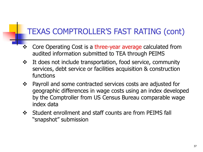# TEXAS COMPTROLLER'S FAST RATING (cont)

- ❖ Core Operating Cost is a three-year average calculated from audited information submitted to TEA through PEIMS
- It does not include transportation, food service, community services, debt service or facilities acquisition & construction functions
- Payroll and some contracted services costs are adjusted for geographic differences in wage costs using an index developed by the Comptroller from US Census Bureau comparable wage index data
- Student enrollment and staff counts are from PEIMS fall "snapshot" submission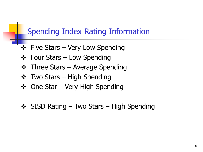#### Spending Index Rating Information

- $\div$  Five Stars Very Low Spending
- $\div$  Four Stars Low Spending
- $\div$  Three Stars Average Spending
- ❖ Two Stars High Spending
- $\div$  One Star Very High Spending
- $\div$  SISD Rating Two Stars High Spending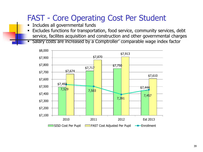### FAST - Core Operating Cost Per Student

- Includes all governmental funds
- Excludes functions for transportation, food service, community services, debt service, facilites acquisition and construction and other governmental charges

Salary costs are increased by a Comptroller' comparable wage index factor

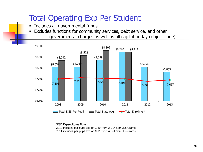### Total Operating Exp Per Student

- **Includes all governmental funds**
- Excludes functions for community services, debt service, and other governmental charges as well as all capital outlay (object code)



SISD Expenditures Note:

2010 includes per pupil exp of \$140 from ARRA Stimulus Grants

2011 includes per pupil exp of \$495 from ARRA Stimulus Grants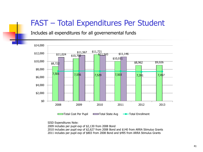#### FAST – Total Expenditures Per Student

Includes all expenditures for all governemental funds



SISD Expenditures Note:

2009 includes per pupil exp of \$2,130 from 2008 Bond

2010 includes per pupil exp of \$2,627 from 2008 Bond and \$140 from ARRA Stimulus Grants

2011 includes per pupil exp of \$803 from 2008 Bond and \$495 from ARRA Stimulus Grants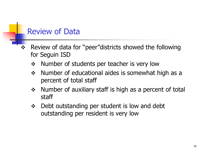### Review of Data

- Review of data for "peer"districts showed the following for Seguin ISD
	- Number of students per teacher is very low
	- $\div$  Number of educational aides is somewhat high as a percent of total staff
	- $\div$  Number of auxiliary staff is high as a percent of total staff
	- $\div$  Debt outstanding per student is low and debt outstanding per resident is very low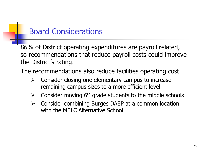### Board Considerations

86% of District operating expenditures are payroll related, so recommendations that reduce payroll costs could improve the District's rating.

The recommendations also reduce facilities operating cost

- $\triangleright$  Consider closing one elementary campus to increase remaining campus sizes to a more efficient level
- $\triangleright$  Consider moving 6<sup>th</sup> grade students to the middle schools
- $\triangleright$  Consider combining Burges DAEP at a common location with the MBLC Alternative School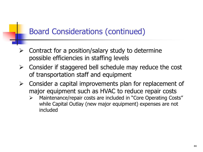## Board Considerations (continued)

- $\triangleright$  Contract for a position/salary study to determine possible efficiencies in staffing levels
- $\triangleright$  Consider if staggered bell schedule may reduce the cost of transportation staff and equipment
- $\triangleright$  Consider a capital improvements plan for replacement of major equipment such as HVAC to reduce repair costs
	- Maintenance/repair costs are included in "Core Operating Costs" while Capital Outlay (new major equipment) expenses are not included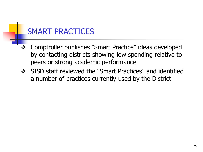### SMART PRACTICES

- Comptroller publishes "Smart Practice" ideas developed by contacting districts showing low spending relative to peers or strong academic performance
- SISD staff reviewed the "Smart Practices" and identified a number of practices currently used by the District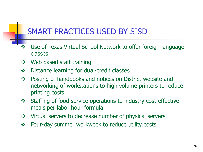### SMART PRACTICES USED BY SISD

- ◆ Use of Texas Virtual School Network to offer foreign language classes
- ❖ Web based staff training
- ❖ Distance learning for dual-credit classes
- Posting of handbooks and notices on District website and networking of workstations to high volume printers to reduce printing costs
- Staffing of food service operations to industry cost-effective meals per labor hour formula
- ❖ Virtual servers to decrease number of physical servers
- Four-day summer workweek to reduce utility costs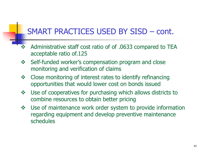### SMART PRACTICES USED BY SISD – cont.

- \* Administrative staff cost ratio of of .0633 compared to TEA acceptable ratio of.125
- ❖ Self-funded worker's compensation program and close monitoring and verification of claims
- ❖ Close monitoring of interest rates to identify refinancing opportunities that would lower cost on bonds issued
- Use of cooperatives for purchasing which allows districts to combine resources to obtain better pricing
- Use of maintenance work order system to provide information regarding equipment and develop preventive maintenance schedules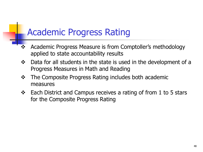# Academic Progress Rating

- ❖ Academic Progress Measure is from Comptoller's methodology applied to state accountability results
- Data for all students in the state is used in the development of a Progress Measures in Math and Reading
- The Composite Progress Rating includes both academic measures
- $\div$  Each District and Campus receives a rating of from 1 to 5 stars for the Composite Progress Rating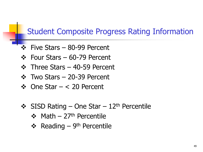### Student Composite Progress Rating Information

- $\div$  Five Stars 80-99 Percent
- Four Stars 60-79 Percent
- ❖ Three Stars 40-59 Percent
- Two Stars 20-39 Percent
- $\div$  One Star < 20 Percent
- $\div$  SISD Rating One Star 12<sup>th</sup> Percentile
	- $\div$  Math 27<sup>th</sup> Percentile
	- ❖ Reading 9<sup>th</sup> Percentile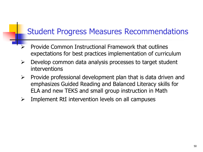### Student Progress Measures Recommendations

- Provide Common Instructional Framework that outlines expectations for best practices implementation of curriculum
- $\triangleright$  Develop common data analysis processes to target student interventions
- $\triangleright$  Provide professional development plan that is data driven and emphasizes Guided Reading and Balanced Literacy skills for ELA and new TEKS and small group instruction in Math
- $\triangleright$  Implement RtI intervention levels on all campuses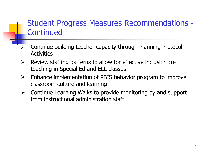### Student Progress Measures Recommendations - **Continued**

- Continue building teacher capacity through Planning Protocol **Activities**
- $\triangleright$  Review staffing patterns to allow for effective inclusion coteaching in Special Ed and ELL classes
- $\triangleright$  Enhance implementation of PBIS behavior program to improve classroom culture and learning
- $\triangleright$  Continue Learning Walks to provide monitoring by and support from instructional administration staff